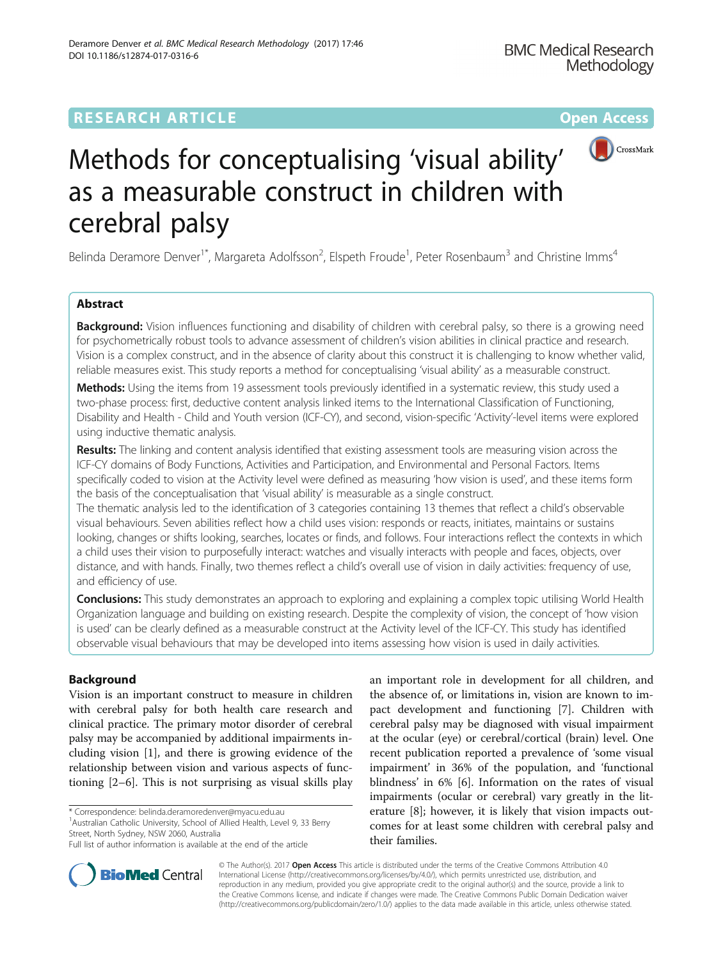# **RESEARCH ARTICLE External Structure Community Community Community Community Community Community Community Community**



# Methods for conceptualising 'visual ability' as a measurable construct in children with cerebral palsy

Belinda Deramore Denver<sup>1\*</sup>, Margareta Adolfsson<sup>2</sup>, Elspeth Froude<sup>1</sup>, Peter Rosenbaum<sup>3</sup> and Christine Imms<sup>4</sup>

# Abstract

Background: Vision influences functioning and disability of children with cerebral palsy, so there is a growing need for psychometrically robust tools to advance assessment of children's vision abilities in clinical practice and research. Vision is a complex construct, and in the absence of clarity about this construct it is challenging to know whether valid, reliable measures exist. This study reports a method for conceptualising 'visual ability' as a measurable construct.

Methods: Using the items from 19 assessment tools previously identified in a systematic review, this study used a two-phase process: first, deductive content analysis linked items to the International Classification of Functioning, Disability and Health - Child and Youth version (ICF-CY), and second, vision-specific 'Activity'-level items were explored using inductive thematic analysis.

Results: The linking and content analysis identified that existing assessment tools are measuring vision across the ICF-CY domains of Body Functions, Activities and Participation, and Environmental and Personal Factors. Items specifically coded to vision at the Activity level were defined as measuring 'how vision is used', and these items form the basis of the conceptualisation that 'visual ability' is measurable as a single construct.

The thematic analysis led to the identification of 3 categories containing 13 themes that reflect a child's observable visual behaviours. Seven abilities reflect how a child uses vision: responds or reacts, initiates, maintains or sustains looking, changes or shifts looking, searches, locates or finds, and follows. Four interactions reflect the contexts in which a child uses their vision to purposefully interact: watches and visually interacts with people and faces, objects, over distance, and with hands. Finally, two themes reflect a child's overall use of vision in daily activities: frequency of use, and efficiency of use.

Conclusions: This study demonstrates an approach to exploring and explaining a complex topic utilising World Health Organization language and building on existing research. Despite the complexity of vision, the concept of 'how vision is used' can be clearly defined as a measurable construct at the Activity level of the ICF-CY. This study has identified observable visual behaviours that may be developed into items assessing how vision is used in daily activities.

# Background

Vision is an important construct to measure in children with cerebral palsy for both health care research and clinical practice. The primary motor disorder of cerebral palsy may be accompanied by additional impairments including vision [[1\]](#page-11-0), and there is growing evidence of the relationship between vision and various aspects of functioning [[2](#page-11-0)–[6](#page-11-0)]. This is not surprising as visual skills play

\* Correspondence: [belinda.deramoredenver@myacu.edu.au](mailto:belinda.deramoredenver@myacu.edu.au) <sup>1</sup>

<sup>1</sup> Australian Catholic University, School of Allied Health, Level 9, 33 Berry Street, North Sydney, NSW 2060, Australia

an important role in development for all children, and the absence of, or limitations in, vision are known to impact development and functioning [[7\]](#page-11-0). Children with cerebral palsy may be diagnosed with visual impairment at the ocular (eye) or cerebral/cortical (brain) level. One recent publication reported a prevalence of 'some visual impairment' in 36% of the population, and 'functional blindness' in 6% [\[6](#page-11-0)]. Information on the rates of visual impairments (ocular or cerebral) vary greatly in the literature [[8\]](#page-11-0); however, it is likely that vision impacts outcomes for at least some children with cerebral palsy and their families.



© The Author(s). 2017 **Open Access** This article is distributed under the terms of the Creative Commons Attribution 4.0 International License [\(http://creativecommons.org/licenses/by/4.0/](http://creativecommons.org/licenses/by/4.0/)), which permits unrestricted use, distribution, and reproduction in any medium, provided you give appropriate credit to the original author(s) and the source, provide a link to the Creative Commons license, and indicate if changes were made. The Creative Commons Public Domain Dedication waiver [\(http://creativecommons.org/publicdomain/zero/1.0/](http://creativecommons.org/publicdomain/zero/1.0/)) applies to the data made available in this article, unless otherwise stated.

Full list of author information is available at the end of the article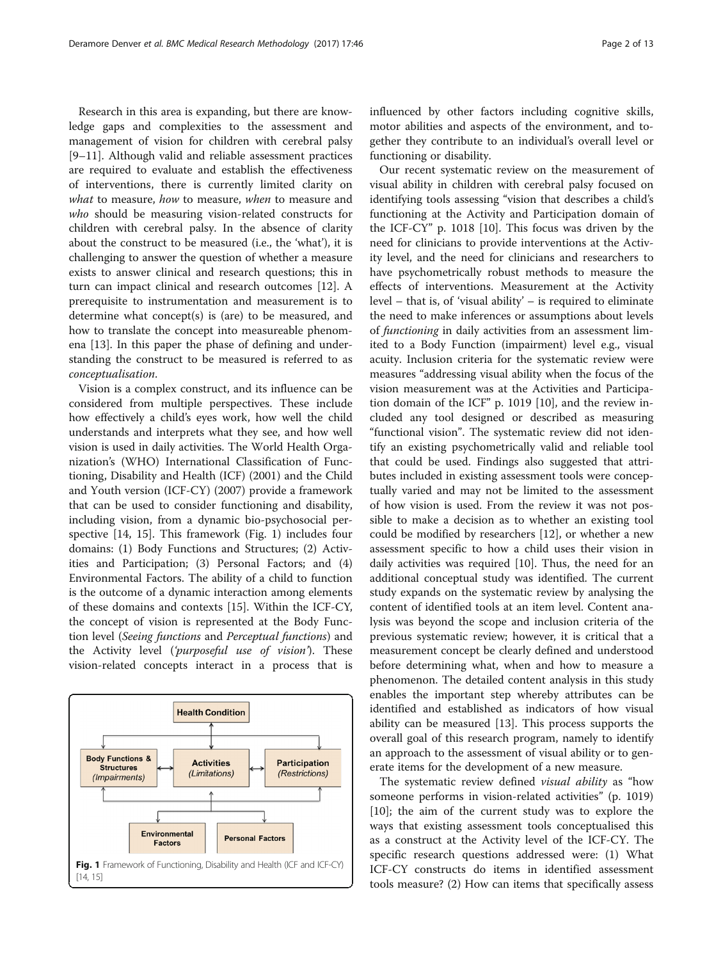Research in this area is expanding, but there are knowledge gaps and complexities to the assessment and management of vision for children with cerebral palsy [[9](#page-11-0)–[11\]](#page-12-0). Although valid and reliable assessment practices are required to evaluate and establish the effectiveness of interventions, there is currently limited clarity on what to measure, how to measure, when to measure and who should be measuring vision-related constructs for children with cerebral palsy. In the absence of clarity about the construct to be measured (i.e., the 'what'), it is challenging to answer the question of whether a measure exists to answer clinical and research questions; this in turn can impact clinical and research outcomes [[12](#page-12-0)]. A prerequisite to instrumentation and measurement is to determine what concept(s) is (are) to be measured, and how to translate the concept into measureable phenomena [[13](#page-12-0)]. In this paper the phase of defining and understanding the construct to be measured is referred to as conceptualisation.

Vision is a complex construct, and its influence can be considered from multiple perspectives. These include how effectively a child's eyes work, how well the child understands and interprets what they see, and how well vision is used in daily activities. The World Health Organization's (WHO) International Classification of Functioning, Disability and Health (ICF) (2001) and the Child and Youth version (ICF-CY) (2007) provide a framework that can be used to consider functioning and disability, including vision, from a dynamic bio-psychosocial perspective [\[14](#page-12-0), [15](#page-12-0)]. This framework (Fig. 1) includes four domains: (1) Body Functions and Structures; (2) Activities and Participation; (3) Personal Factors; and (4) Environmental Factors. The ability of a child to function is the outcome of a dynamic interaction among elements of these domains and contexts [\[15](#page-12-0)]. Within the ICF-CY, the concept of vision is represented at the Body Function level (Seeing functions and Perceptual functions) and the Activity level ('purposeful use of vision'). These vision-related concepts interact in a process that is



influenced by other factors including cognitive skills, motor abilities and aspects of the environment, and together they contribute to an individual's overall level or functioning or disability.

Our recent systematic review on the measurement of visual ability in children with cerebral palsy focused on identifying tools assessing "vision that describes a child's functioning at the Activity and Participation domain of the ICF-CY" p. 1018 [[10\]](#page-12-0). This focus was driven by the need for clinicians to provide interventions at the Activity level, and the need for clinicians and researchers to have psychometrically robust methods to measure the effects of interventions. Measurement at the Activity level – that is, of 'visual ability' – is required to eliminate the need to make inferences or assumptions about levels of functioning in daily activities from an assessment limited to a Body Function (impairment) level e.g., visual acuity. Inclusion criteria for the systematic review were measures "addressing visual ability when the focus of the vision measurement was at the Activities and Participation domain of the ICF" p. 1019 [\[10](#page-12-0)], and the review included any tool designed or described as measuring "functional vision". The systematic review did not identify an existing psychometrically valid and reliable tool that could be used. Findings also suggested that attributes included in existing assessment tools were conceptually varied and may not be limited to the assessment of how vision is used. From the review it was not possible to make a decision as to whether an existing tool could be modified by researchers [[12](#page-12-0)], or whether a new assessment specific to how a child uses their vision in daily activities was required [\[10](#page-12-0)]. Thus, the need for an additional conceptual study was identified. The current study expands on the systematic review by analysing the content of identified tools at an item level. Content analysis was beyond the scope and inclusion criteria of the previous systematic review; however, it is critical that a measurement concept be clearly defined and understood before determining what, when and how to measure a phenomenon. The detailed content analysis in this study enables the important step whereby attributes can be identified and established as indicators of how visual ability can be measured [\[13](#page-12-0)]. This process supports the overall goal of this research program, namely to identify an approach to the assessment of visual ability or to generate items for the development of a new measure.

The systematic review defined *visual ability* as "how someone performs in vision-related activities" (p. 1019) [[10\]](#page-12-0); the aim of the current study was to explore the ways that existing assessment tools conceptualised this as a construct at the Activity level of the ICF-CY. The specific research questions addressed were: (1) What ICF-CY constructs do items in identified assessment tools measure? (2) How can items that specifically assess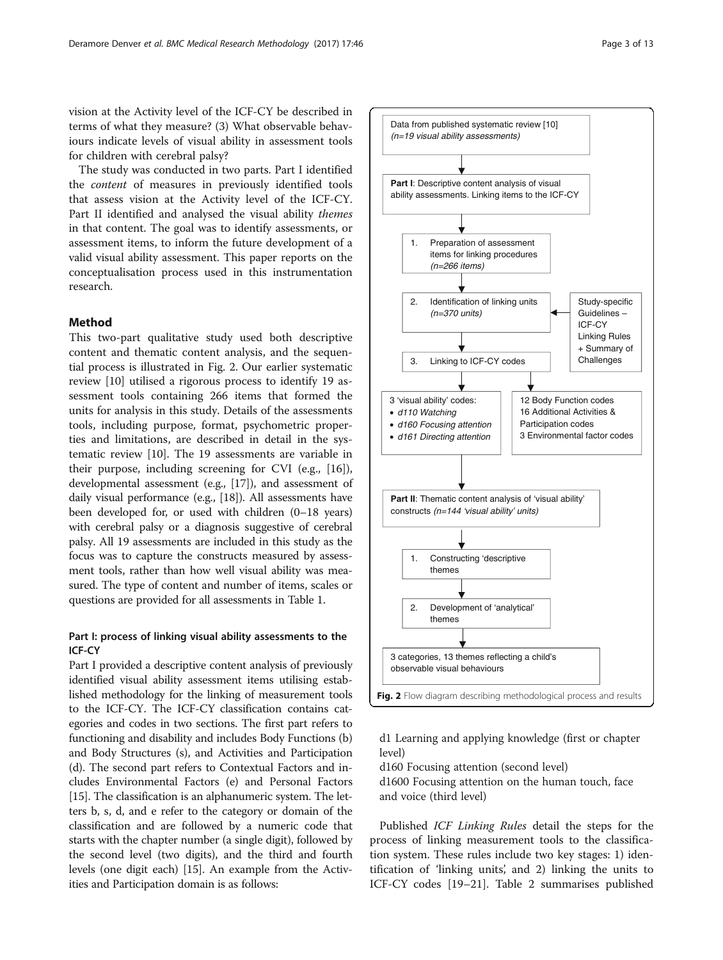vision at the Activity level of the ICF-CY be described in terms of what they measure? (3) What observable behaviours indicate levels of visual ability in assessment tools for children with cerebral palsy?

The study was conducted in two parts. Part I identified the content of measures in previously identified tools that assess vision at the Activity level of the ICF-CY. Part II identified and analysed the visual ability themes in that content. The goal was to identify assessments, or assessment items, to inform the future development of a valid visual ability assessment. This paper reports on the conceptualisation process used in this instrumentation research.

#### Method

This two-part qualitative study used both descriptive content and thematic content analysis, and the sequential process is illustrated in Fig. 2. Our earlier systematic review [[10\]](#page-12-0) utilised a rigorous process to identify 19 assessment tools containing 266 items that formed the units for analysis in this study. Details of the assessments tools, including purpose, format, psychometric properties and limitations, are described in detail in the systematic review [\[10](#page-12-0)]. The 19 assessments are variable in their purpose, including screening for CVI (e.g., [\[16](#page-12-0)]), developmental assessment (e.g., [\[17\]](#page-12-0)), and assessment of daily visual performance (e.g., [\[18\]](#page-12-0)). All assessments have been developed for, or used with children (0–18 years) with cerebral palsy or a diagnosis suggestive of cerebral palsy. All 19 assessments are included in this study as the focus was to capture the constructs measured by assessment tools, rather than how well visual ability was measured. The type of content and number of items, scales or questions are provided for all assessments in Table [1](#page-3-0).

# Part I: process of linking visual ability assessments to the ICF-CY

Part I provided a descriptive content analysis of previously identified visual ability assessment items utilising established methodology for the linking of measurement tools to the ICF-CY. The ICF-CY classification contains categories and codes in two sections. The first part refers to functioning and disability and includes Body Functions (b) and Body Structures (s), and Activities and Participation (d). The second part refers to Contextual Factors and includes Environmental Factors (e) and Personal Factors [[15](#page-12-0)]. The classification is an alphanumeric system. The letters b, s, d, and e refer to the category or domain of the classification and are followed by a numeric code that starts with the chapter number (a single digit), followed by the second level (two digits), and the third and fourth levels (one digit each) [\[15\]](#page-12-0). An example from the Activities and Participation domain is as follows:



d1 Learning and applying knowledge (first or chapter level)

d160 Focusing attention (second level)

d1600 Focusing attention on the human touch, face and voice (third level)

Published ICF Linking Rules detail the steps for the process of linking measurement tools to the classification system. These rules include two key stages: 1) identification of 'linking units', and 2) linking the units to ICF-CY codes [[19](#page-12-0)–[21\]](#page-12-0). Table [2](#page-4-0) summarises published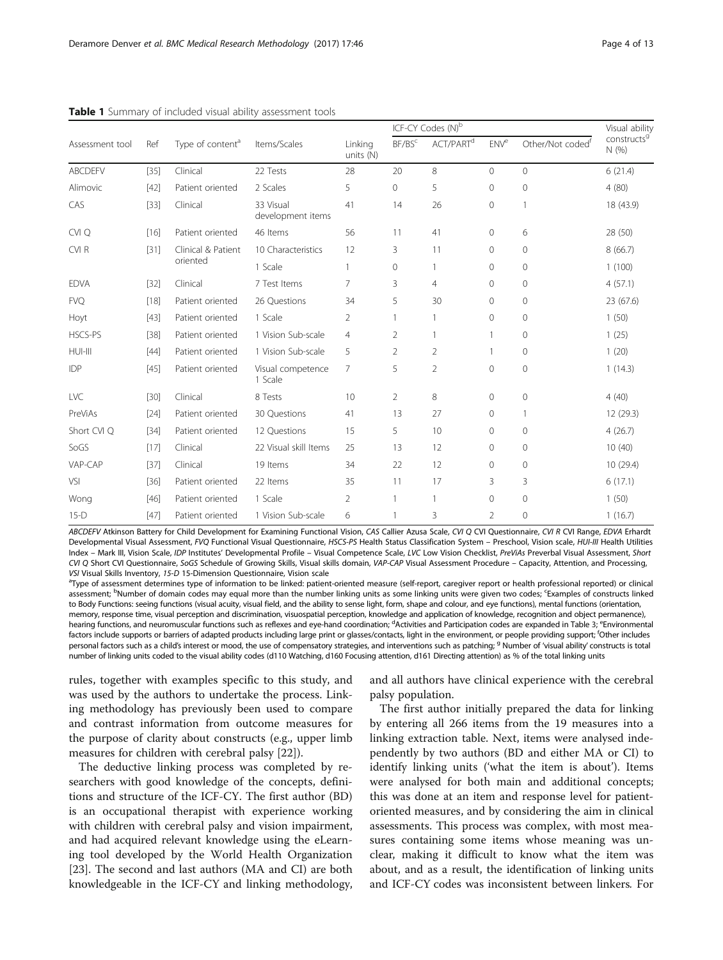|                  |        |                                |                                |                      | ICF-CY Codes (N) <sup>b</sup> |                       |                  |                              | Visual ability                  |
|------------------|--------|--------------------------------|--------------------------------|----------------------|-------------------------------|-----------------------|------------------|------------------------------|---------------------------------|
| Assessment tool  | Ref    | Type of content <sup>a</sup>   | Items/Scales                   | Linking<br>units (N) | BF/BS <sup>c</sup>            | ACT/PART <sup>d</sup> | ENV <sup>e</sup> | Other/Not coded <sup>t</sup> | constructs <sup>9</sup><br>N(%) |
| <b>ABCDEFV</b>   | $[35]$ | Clinical                       | 22 Tests                       | 28                   | 20                            | 8                     | $\circ$          | $\mathbf 0$                  | 6(21.4)                         |
| Alimovic         | $[42]$ | Patient oriented               | 2 Scales                       | 5                    | $\mathbf 0$                   | 5                     | $\mathbf{0}$     | $\mathbf 0$                  | 4(80)                           |
| CAS              | $[33]$ | Clinical                       | 33 Visual<br>development items | 41                   | 14                            | 26                    | 0                | 1                            | 18 (43.9)                       |
| CVI Q            | $[16]$ | Patient oriented               | 46 Items                       | 56                   | 11                            | 41                    | $\circ$          | 6                            | 28 (50)                         |
| CVI <sub>R</sub> | $[31]$ | Clinical & Patient<br>oriented | 10 Characteristics             | 12                   | 3                             | 11                    | $\circ$          | $\mathbf 0$                  | 8(66.7)                         |
|                  |        |                                | 1 Scale                        | $\mathbf{1}$         | $\Omega$                      |                       | $\Omega$         | $\mathbf 0$                  | 1(100)                          |
| <b>EDVA</b>      | $[32]$ | Clinical                       | 7 Test Items                   | $\overline{7}$       | 3                             | $\overline{4}$        | $\Omega$         | $\mathbf 0$                  | 4(57.1)                         |
| <b>FVQ</b>       | $[18]$ | Patient oriented               | 26 Questions                   | 34                   | 5                             | 30                    | $\circ$          | $\mathbf 0$                  | 23 (67.6)                       |
| Hoyt             | $[43]$ | Patient oriented               | 1 Scale                        | $\overline{2}$       | $\mathbf{1}$                  |                       | $\mathbf{0}$     | $\mathbf 0$                  | 1(50)                           |
| HSCS-PS          | $[38]$ | Patient oriented               | 1 Vision Sub-scale             | $\overline{4}$       | $\overline{2}$                |                       |                  | $\mathbf 0$                  | 1(25)                           |
| HUI-III          | $[44]$ | Patient oriented               | 1 Vision Sub-scale             | 5                    | $\overline{2}$                | $\overline{2}$        | 1                | $\mathbf 0$                  | 1(20)                           |
| <b>IDP</b>       | $[45]$ | Patient oriented               | Visual competence<br>1 Scale   | 7                    | 5                             | $\overline{2}$        | $\mathbf{0}$     | $\mathbf 0$                  | 1(14.3)                         |
| LVC              | $[30]$ | Clinical                       | 8 Tests                        | 10                   | 2                             | 8                     | $\Omega$         | $\mathbf 0$                  | 4(40)                           |
| PreViAs          | $[24]$ | Patient oriented               | 30 Ouestions                   | 41                   | 13                            | 27                    | $\mathbf{0}$     | 1                            | 12 (29.3)                       |
| Short CVI Q      | $[34]$ | Patient oriented               | 12 Questions                   | 15                   | 5                             | 10                    | $\circ$          | 0                            | 4(26.7)                         |
| SoGS             | $[17]$ | Clinical                       | 22 Visual skill Items          | 25                   | 13                            | 12                    | $\mathbf{0}$     | $\mathbf 0$                  | 10(40)                          |
| VAP-CAP          | $[37]$ | Clinical                       | 19 Items                       | 34                   | 22                            | 12                    | $\mathbf 0$      | $\mathbf 0$                  | 10 (29.4)                       |
| VSI              | $[36]$ | Patient oriented               | 22 Items                       | 35                   | 11                            | 17                    | 3                | 3                            | 6(17.1)                         |
| Wong             | $[46]$ | Patient oriented               | 1 Scale                        | $\overline{2}$       | $\overline{1}$                |                       | $\mathbf{0}$     | $\mathbf 0$                  | 1(50)                           |
| $15-D$           | $[47]$ | Patient oriented               | 1 Vision Sub-scale             | 6                    | $\mathbf{1}$                  | 3                     | $\overline{2}$   | $\mathbf 0$                  | 1(16.7)                         |

#### <span id="page-3-0"></span>Table 1 Summary of included visual ability assessment tools

ABCDEFV Atkinson Battery for Child Development for Examining Functional Vision, CAS Callier Azusa Scale, CVI Q CVI Questionnaire, CVI R CVI Range, EDVA Erhardt Developmental Visual Assessment, FVQ Functional Visual Questionnaire, HSCS-PS Health Status Classification System - Preschool, Vision scale, HUI-III Health Utilities Index - Mark III, Vision Scale, IDP Institutes' Developmental Profile - Visual Competence Scale, LVC Low Vision Checklist, PreViAs Preverbal Visual Assessment, Short CVI Q Short CVI Questionnaire, SoGS Schedule of Growing Skills, Visual skills domain, VAP-CAP Visual Assessment Procedure – Capacity, Attention, and Processing, VSI Visual Skills Inventory, 15-D 15-Dimension Questionnaire, Vision scale <sup>a</sup>

<sup>a</sup>Type of assessment determines type of information to be linked: patient-oriented measure (self-report, caregiver report or health professional reported) or clinical assessment; <sup>b</sup>Number of domain codes may equal more than the number linking units as some linking units were given two codes; <sup>c</sup>Examples of constructs linked to Body Functions: seeing functions (visual acuity, visual field, and the ability to sense light, form, shape and colour, and eye functions), mental functions (orientation, memory, response time, visual perception and discrimination, visuospatial perception, knowledge and application of knowledge, recognition and object permanence), hearing functions, and neuromuscular functions such as reflexes and eye-hand coordination; <sup>d</sup>Activities and Participation codes are expanded in Table [3](#page-5-0); <sup>e</sup>Environmental factors include supports or barriers of adapted products including large print or glasses/contacts, light in the environment, or people providing support; <sup>f</sup> Other includes personal factors such as a child's interest or mood, the use of compensatory strategies, and interventions such as patching; <sup>9</sup> Number of 'visual ability' constructs is total number of linking units coded to the visual ability codes (d110 Watching, d160 Focusing attention, d161 Directing attention) as % of the total linking units

rules, together with examples specific to this study, and was used by the authors to undertake the process. Linking methodology has previously been used to compare and contrast information from outcome measures for the purpose of clarity about constructs (e.g., upper limb measures for children with cerebral palsy [[22](#page-12-0)]).

The deductive linking process was completed by researchers with good knowledge of the concepts, definitions and structure of the ICF-CY. The first author (BD) is an occupational therapist with experience working with children with cerebral palsy and vision impairment, and had acquired relevant knowledge using the eLearning tool developed by the World Health Organization [[23\]](#page-12-0). The second and last authors (MA and CI) are both knowledgeable in the ICF-CY and linking methodology,

and all authors have clinical experience with the cerebral palsy population.

The first author initially prepared the data for linking by entering all 266 items from the 19 measures into a linking extraction table. Next, items were analysed independently by two authors (BD and either MA or CI) to identify linking units ('what the item is about'). Items were analysed for both main and additional concepts; this was done at an item and response level for patientoriented measures, and by considering the aim in clinical assessments. This process was complex, with most measures containing some items whose meaning was unclear, making it difficult to know what the item was about, and as a result, the identification of linking units and ICF-CY codes was inconsistent between linkers. For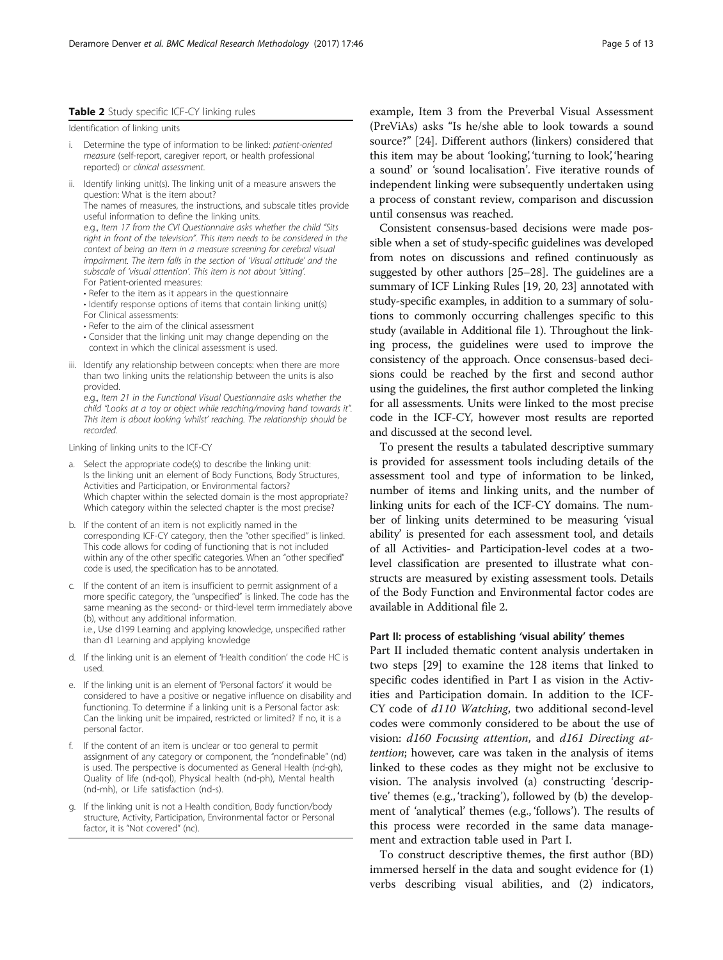#### <span id="page-4-0"></span>Table 2 Study specific ICF-CY linking rules

Identification of linking units

- i. Determine the type of information to be linked: patient-oriented measure (self-report, caregiver report, or health professional reported) or clinical assessment.
- ii. Identify linking unit(s). The linking unit of a measure answers the question: What is the item about? The names of measures, the instructions, and subscale titles provide useful information to define the linking units. e.g., Item 17 from the CVI Questionnaire asks whether the child "Sits right in front of the television". This item needs to be considered in the context of being an item in a measure screening for cerebral visual impairment. The item falls in the section of 'Visual attitude' and the subscale of 'visual attention'. This item is not about 'sitting'. For Patient-oriented measures:
	- Refer to the item as it appears in the questionnaire
	- Identify response options of items that contain linking unit(s) For Clinical assessments:
	- Refer to the aim of the clinical assessment
	- Consider that the linking unit may change depending on the context in which the clinical assessment is used.
- iii. Identify any relationship between concepts: when there are more than two linking units the relationship between the units is also provided.

e.g., Item 21 in the Functional Visual Questionnaire asks whether the child "Looks at a toy or object while reaching/moving hand towards it". This item is about looking 'whilst' reaching. The relationship should be recorded.

Linking of linking units to the ICF-CY

- a. Select the appropriate code(s) to describe the linking unit: Is the linking unit an element of Body Functions, Body Structures, Activities and Participation, or Environmental factors? Which chapter within the selected domain is the most appropriate? Which category within the selected chapter is the most precise?
- b. If the content of an item is not explicitly named in the corresponding ICF-CY category, then the "other specified" is linked. This code allows for coding of functioning that is not included within any of the other specific categories. When an "other specified" code is used, the specification has to be annotated.
- c. If the content of an item is insufficient to permit assignment of a more specific category, the "unspecified" is linked. The code has the same meaning as the second- or third-level term immediately above (b), without any additional information. i.e., Use d199 Learning and applying knowledge, unspecified rather than d1 Learning and applying knowledge
- d. If the linking unit is an element of 'Health condition' the code HC is used.
- e. If the linking unit is an element of 'Personal factors' it would be considered to have a positive or negative influence on disability and functioning. To determine if a linking unit is a Personal factor ask: Can the linking unit be impaired, restricted or limited? If no, it is a personal factor.
- f. If the content of an item is unclear or too general to permit assignment of any category or component, the "nondefinable" (nd) is used. The perspective is documented as General Health (nd-gh), Quality of life (nd-qol), Physical health (nd-ph), Mental health (nd-mh), or Life satisfaction (nd-s).
- g. If the linking unit is not a Health condition, Body function/body structure, Activity, Participation, Environmental factor or Personal factor, it is "Not covered" (nc).

example, Item 3 from the Preverbal Visual Assessment (PreViAs) asks "Is he/she able to look towards a sound source?" [\[24](#page-12-0)]. Different authors (linkers) considered that this item may be about 'looking', 'turning to look', 'hearing a sound' or 'sound localisation'. Five iterative rounds of independent linking were subsequently undertaken using a process of constant review, comparison and discussion until consensus was reached.

Consistent consensus-based decisions were made possible when a set of study-specific guidelines was developed from notes on discussions and refined continuously as suggested by other authors [[25](#page-12-0)–[28\]](#page-12-0). The guidelines are a summary of ICF Linking Rules [[19](#page-12-0), [20, 23](#page-12-0)] annotated with study-specific examples, in addition to a summary of solutions to commonly occurring challenges specific to this study (available in Additional file [1\)](#page-11-0). Throughout the linking process, the guidelines were used to improve the consistency of the approach. Once consensus-based decisions could be reached by the first and second author using the guidelines, the first author completed the linking for all assessments. Units were linked to the most precise code in the ICF-CY, however most results are reported and discussed at the second level.

To present the results a tabulated descriptive summary is provided for assessment tools including details of the assessment tool and type of information to be linked, number of items and linking units, and the number of linking units for each of the ICF-CY domains. The number of linking units determined to be measuring 'visual ability' is presented for each assessment tool, and details of all Activities- and Participation-level codes at a twolevel classification are presented to illustrate what constructs are measured by existing assessment tools. Details of the Body Function and Environmental factor codes are available in Additional file [2](#page-11-0).

#### Part II: process of establishing 'visual ability' themes

Part II included thematic content analysis undertaken in two steps [\[29](#page-12-0)] to examine the 128 items that linked to specific codes identified in Part I as vision in the Activities and Participation domain. In addition to the ICF-CY code of d110 Watching, two additional second-level codes were commonly considered to be about the use of vision: d160 Focusing attention, and d161 Directing attention; however, care was taken in the analysis of items linked to these codes as they might not be exclusive to vision. The analysis involved (a) constructing 'descriptive' themes (e.g., 'tracking'), followed by (b) the development of 'analytical' themes (e.g., 'follows'). The results of this process were recorded in the same data management and extraction table used in Part I.

To construct descriptive themes, the first author (BD) immersed herself in the data and sought evidence for (1) verbs describing visual abilities, and (2) indicators,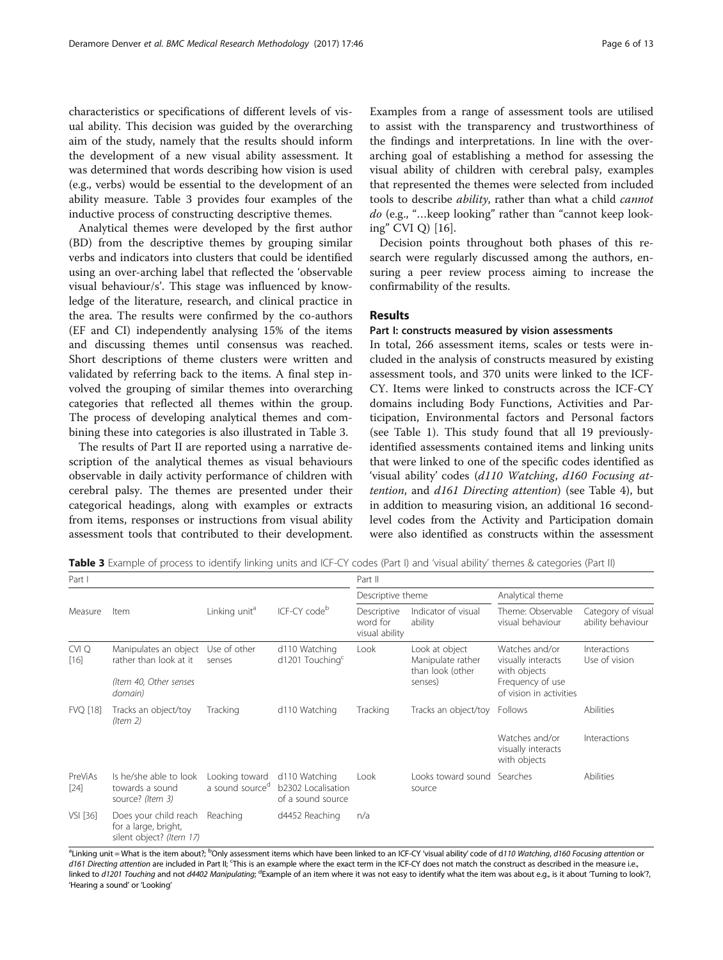<span id="page-5-0"></span>characteristics or specifications of different levels of visual ability. This decision was guided by the overarching aim of the study, namely that the results should inform the development of a new visual ability assessment. It was determined that words describing how vision is used (e.g., verbs) would be essential to the development of an ability measure. Table 3 provides four examples of the inductive process of constructing descriptive themes.

Analytical themes were developed by the first author (BD) from the descriptive themes by grouping similar verbs and indicators into clusters that could be identified using an over-arching label that reflected the 'observable visual behaviour/s'. This stage was influenced by knowledge of the literature, research, and clinical practice in the area. The results were confirmed by the co-authors (EF and CI) independently analysing 15% of the items and discussing themes until consensus was reached. Short descriptions of theme clusters were written and validated by referring back to the items. A final step involved the grouping of similar themes into overarching categories that reflected all themes within the group. The process of developing analytical themes and combining these into categories is also illustrated in Table 3.

The results of Part II are reported using a narrative description of the analytical themes as visual behaviours observable in daily activity performance of children with cerebral palsy. The themes are presented under their categorical headings, along with examples or extracts from items, responses or instructions from visual ability assessment tools that contributed to their development.

Examples from a range of assessment tools are utilised to assist with the transparency and trustworthiness of the findings and interpretations. In line with the overarching goal of establishing a method for assessing the visual ability of children with cerebral palsy, examples that represented the themes were selected from included tools to describe *ability*, rather than what a child *cannot* do (e.g., "...keep looking" rather than "cannot keep looking" CVI Q) [[16\]](#page-12-0).

Decision points throughout both phases of this research were regularly discussed among the authors, ensuring a peer review process aiming to increase the confirmability of the results.

## Results

#### Part I: constructs measured by vision assessments

In total, 266 assessment items, scales or tests were included in the analysis of constructs measured by existing assessment tools, and 370 units were linked to the ICF-CY. Items were linked to constructs across the ICF-CY domains including Body Functions, Activities and Participation, Environmental factors and Personal factors (see Table [1](#page-3-0)). This study found that all 19 previouslyidentified assessments contained items and linking units that were linked to one of the specific codes identified as 'visual ability' codes (d110 Watching, d160 Focusing at-tention, and d161 Directing attention) (see Table [4\)](#page-6-0), but in addition to measuring vision, an additional 16 secondlevel codes from the Activity and Participation domain were also identified as constructs within the assessment

Table 3 Example of process to identify linking units and ICF-CY codes (Part I) and 'visual ability' themes & categories (Part II)

| Part I            |                                                                                      |                                               |                                                          | Part II                                   |                                                                    |                                                                                                     |                                         |
|-------------------|--------------------------------------------------------------------------------------|-----------------------------------------------|----------------------------------------------------------|-------------------------------------------|--------------------------------------------------------------------|-----------------------------------------------------------------------------------------------------|-----------------------------------------|
|                   |                                                                                      |                                               |                                                          | Descriptive theme                         |                                                                    | Analytical theme                                                                                    |                                         |
| Measure           | Item                                                                                 | Linking unit <sup>a</sup>                     | ICF-CY code <sup>b</sup>                                 | Descriptive<br>word for<br>visual ability | Indicator of visual<br>ability                                     | Theme: Observable<br>visual behaviour                                                               | Category of visual<br>ability behaviour |
| CVI Q<br>$[16]$   | Manipulates an object<br>rather than look at it<br>(Item 40, Other senses<br>domain) | Use of other<br>senses                        | d110 Watching<br>d1201 Touching <sup>c</sup>             | Look                                      | Look at object<br>Manipulate rather<br>than look (other<br>senses) | Watches and/or<br>visually interacts<br>with objects<br>Frequency of use<br>of vision in activities | Interactions<br>Use of vision           |
| <b>FVQ [18]</b>   | Tracks an object/toy<br>(Item 2)                                                     | Tracking                                      | d110 Watching                                            | Tracking                                  | Tracks an object/toy                                               | Follows<br>Watches and/or<br>visually interacts<br>with objects                                     | Abilities<br>Interactions               |
| PreViAs<br>$[24]$ | Is he/she able to look<br>towards a sound<br>source? (Item 3)                        | Looking toward<br>a sound source <sup>d</sup> | d110 Watching<br>b2302 Localisation<br>of a sound source | Look                                      | Looks toward sound<br>source                                       | Searches                                                                                            | Abilities                               |
| VSI [36]          | Does your child reach<br>for a large, bright,<br>silent object? (Item 17)            | Reaching                                      | d4452 Reaching                                           | n/a                                       |                                                                    |                                                                                                     |                                         |

<sup>a</sup>Linking unit = What is the item about?; <sup>b</sup>Only assessment items which have been linked to an ICF-CY 'visual ability' code of d110 Watching, d160 Focusing attention or d161 Directing attention are included in Part II; 'This is an example where the exact term in the ICF-CY does not match the construct as described in the measure i.e., linked to d1201 Touching and not d4402 Manipulating; <sup>d</sup>Example of an item where it was not easy to identify what the item was about e.g., is it about 'Turning to look'?, 'Hearing a sound' or 'Looking'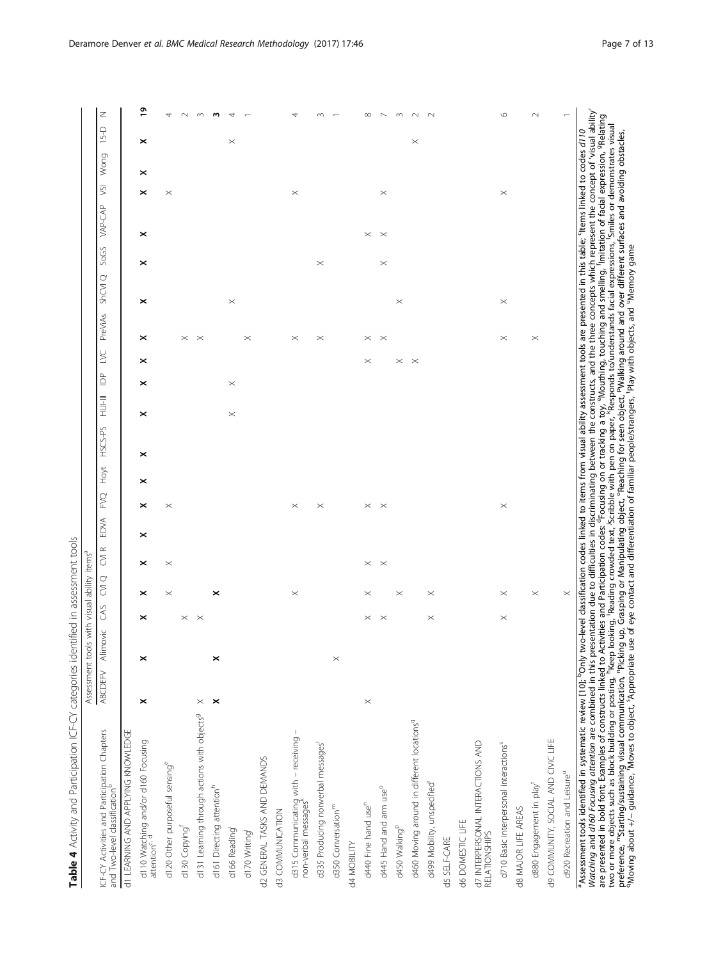<span id="page-6-0"></span> $\overline{9}$ X X X X X X X X X X X X X X X X X X X 19 Watching and d160 Focusing attention are combined in this presentation due to difficulties in discriminating between the constructs, and the three concepts which represent the concept of Visual ability'  $\overline{z}$  $\circ$ Watching and d160 Focusing attention are combined in this presentation due to difficulties in discriminating between the constructs, and the three concepts which represent the concept of 'visual ability'  $\overline{a}$  $\sim$  $\sim$  $\mathbf{r}$  $\overline{\phantom{a}}$  $\infty$  $\triangleright$  $\sim$  $\sim$  $\sim$ are presented in bold font; Examples of constructs linked to Activities and Participation codes; <sup>e</sup>rocusing on or tracking a toy, "Mouthing, touching and smelling, limitation of facial expression, "Relating<br>two or more ob ich-CY Activities and Participation Chapters<br>and Two-level classification<sup>b</sup> d161 Directing attentionh  $X$   $X$  $\times$  X  $\times$  X  $\times$  X  $\times$  X  $\times$  X  $\times$  X  $\times$  X  $\times$ d130 Copyingf  $\times$  X d131 Learning through actions with objects $9$  X  $\times$ d-deceler decelering in the state of the state of the state of the state of the state of the state of the state of the state of the state of the state of the state of the state of the state of the state of the state of the  $\times$   $\times$   $\times$   $\times$ d335 Producing nonverbal messages  $\times$ d440 Fine hand usen X XX X X XX X 8 d445 Hand and arm useo X X X X XX X 7  $\times$  X  $\times$  X  $\times$  X  $\times$ d460 Moving around in different locations<sup>q</sup> X X d499 Mobility, unspecifiedr X X 2 d710 Basic interpersonal interactionss XX X X X X 6 d880 Engagement in play<sup>t</sup>  $\times$ d170 Writingj X 1 d350 Conversationm X 1 d920 Recreation and Leisure<sup>u</sup> X 1999 Recreation and Leisure<sup>u</sup> are presented in bold font; Examples of constructs linked to Activities and Participation codes: <sup>d</sup>Focusing on or tracking a toy, <sup>e</sup>Mouthing, touching and smelling, <sup>f</sup>Imitation of facial expression, <sup>9</sup>Relating  $-5 - D$ two or more objects such as block building or posting, <sup>h</sup>Keep looking, hRaading crowded text, <sup>j</sup>Scribble with pen on paper, <sup>k</sup>Responds to/understands facial expressions, <sup>i</sup>Smiles or demonstrates visual Only two-level classification codes linked to items from visual ability assessment tools are presented in this table; <sup>c</sup>items linked to codes d110 Assessment tools identified in systematic review [\[10](#page-12-0)]; <sup>b</sup>Only two-level classification codes linked to the items from visual ability assessment tools are presented in this table; <sup>c</sup>Items linked to codes *d110* preference, "Starting/sustaining visual communication, "Picking up, Grasping or Manipulating object, "Reaching for seen object, "Walking around and over different surfaces and avoiding obstacles,<br>"Moving about +/– guidance  $\times$  $\times$  $\times$ Wong  $\times$  $\overline{S}$  $\times$  $\times$  $\times$  $\mathbb{R}$  $\times$ **SAP** yap.  $\times$  $\times$  $\mathbb{R}$ SoGS  $\times$  $\overline{\times}$  $\overline{\mathbf{x}}$ ShCVIQ  $\times$  $\times$  $\times$  $\times$ PreViAs  $\times$  $\times$  $\rightarrow$  $\mathbb{R}^2$  $\rightarrow$  $\times$ Š  $\times$  $\overline{\times}$  $\sum_{i=1}^{n}$  $\times$  $\overline{\times}$ HU-III  $\times$  $\times$ HSCS-PS  $\times$ Hoyt  $\times$ R  $\times$  $\times$  $\times$  $\times$  $\times$  $\,\times\,$  $\times$ EDVA  $\times$ Table 4 Activity and Participation ICF-CY categories identified in assessment tools Table 4 Activity and Participation ICF-CY categories identified in assessment tools  $\frac{R}{C}$ Assessment tools with visual ability items<sup>a</sup> Assessment tools with visual ability items  $\times$  $\times$  $\overline{\mathbf{X}}$  $\circ$  $\overline{z}$  $\overline{\times}$  $\times$  $\mathbf{x}$  $\times$  $\times$  $\overline{\mathbf{x}}$ CAS  $\boldsymbol{\times}$  $\times$  $\rightarrow$  $\rightarrow$  $\times$  $\times$ Alimovic  $\mathbf{\times}$  $\mathbf{\times}$  $\overline{\phantom{1}}$ ABCDEFV Assessment tools identified in systematic review [10];  $\times$  $\times$  $\times$  $\mathbb{R}$ d131 Learning through actions with objects<sup>9</sup> d460 Moving around in different locations<sup>q</sup> d1 LEARNING AND APPLYING KNOWLEDGE CF-CY Activities and Participation Chapters ICF-CY Activities and Participation Chapters d1 LEARNING AND APPLYING KNOWLEDGE d315 Communicating with – receiving – d315 Communicating with - receiving d110 Watching and/or d160 Focusing d9 COMMUNITY, SOCIAL AND CIVIC LIFE d110 Watching and/or d160 Focusing d9 COMMUNITY, SOCIAL AND CIVIC LIFE d7 INTERPERSONAL INTERACTIONS AND d7 INTERPERSONAL INTERACTIONS AND d710 Basic interpersonal interactions<sup>5</sup> messages d2 GENERAL TASKS AND DEMANDS d2 GENERAL TASKS AND DEMANDS d120 Other purposeful sensing<sup>®</sup> d920 Recreation and Leisure" d335 Producing nonverbal d499 Mobility, unspecified d880 Engagement in play d161 Directing attention d445 Hand and arm use<sup>o</sup> and Two-level classification non-verbal messages<sup>k</sup> non-verbal messages d440 Fine hand use<sup>n</sup> d350 Conversation<sup>m</sup> d8 MAJOR LIFE AREAS d3 COMMUNICATION d8 MAJOR LIFE AREAS d3 COMMUNICATION d6 DOMESTIC LIFE d6 DOMESTIC LIFE d130 Copying d166 Reading d450 Walking d170 Writing **RELATIONSHIPS** RELATIONSHIPS attention<sup>c, d</sup> attention<sup>c, d</sup> d5 SELF-CARE d5 SELF-CARE d4 MOBILITY d4 MOBILITY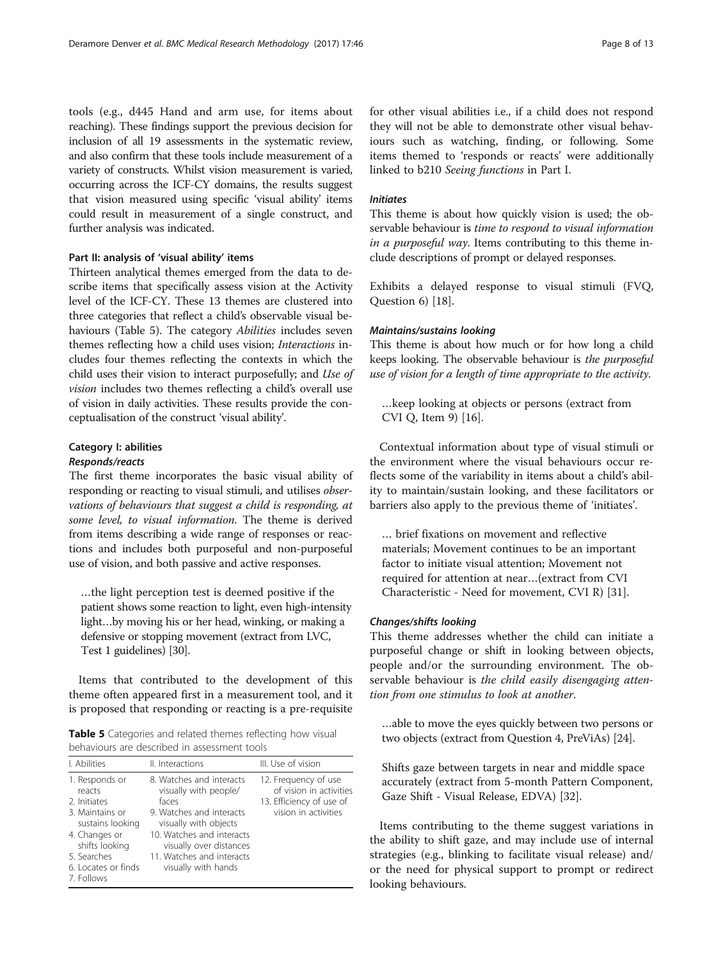tools (e.g., d445 Hand and arm use, for items about reaching). These findings support the previous decision for inclusion of all 19 assessments in the systematic review, and also confirm that these tools include measurement of a variety of constructs. Whilst vision measurement is varied, occurring across the ICF-CY domains, the results suggest that vision measured using specific 'visual ability' items could result in measurement of a single construct, and further analysis was indicated.

## Part II: analysis of 'visual ability' items

Thirteen analytical themes emerged from the data to describe items that specifically assess vision at the Activity level of the ICF-CY. These 13 themes are clustered into three categories that reflect a child's observable visual behaviours (Table 5). The category Abilities includes seven themes reflecting how a child uses vision; Interactions includes four themes reflecting the contexts in which the child uses their vision to interact purposefully; and Use of vision includes two themes reflecting a child's overall use of vision in daily activities. These results provide the conceptualisation of the construct 'visual ability'.

#### Category I: abilities

#### Responds/reacts

The first theme incorporates the basic visual ability of responding or reacting to visual stimuli, and utilises observations of behaviours that suggest a child is responding, at some level, to visual information. The theme is derived from items describing a wide range of responses or reactions and includes both purposeful and non-purposeful use of vision, and both passive and active responses.

…the light perception test is deemed positive if the patient shows some reaction to light, even high-intensity light…by moving his or her head, winking, or making a defensive or stopping movement (extract from LVC, Test 1 guidelines) [\[30\]](#page-12-0).

Items that contributed to the development of this theme often appeared first in a measurement tool, and it is proposed that responding or reacting is a pre-requisite

Table 5 Categories and related themes reflecting how visual behaviours are described in assessment tools

| I. Abilities                                                                                                                                                           | II. Interactions                                                                                                                                                                                                            | III. Use of vision                                                                                  |
|------------------------------------------------------------------------------------------------------------------------------------------------------------------------|-----------------------------------------------------------------------------------------------------------------------------------------------------------------------------------------------------------------------------|-----------------------------------------------------------------------------------------------------|
| 1. Responds or<br>reacts<br>2. Initiates<br>3. Maintains or<br>sustains looking<br>4. Changes or<br>shifts looking<br>5. Searches<br>6. Locates or finds<br>7. Follows | 8. Watches and interacts<br>visually with people/<br>faces<br>9. Watches and interacts<br>visually with objects<br>10. Watches and interacts<br>visually over distances<br>11. Watches and interacts<br>visually with hands | 12. Frequency of use<br>of vision in activities<br>13. Efficiency of use of<br>vision in activities |

for other visual abilities i.e., if a child does not respond they will not be able to demonstrate other visual behaviours such as watching, finding, or following. Some items themed to 'responds or reacts' were additionally linked to b210 Seeing functions in Part I.

## Initiates

This theme is about how quickly vision is used; the observable behaviour is time to respond to visual information in a purposeful way. Items contributing to this theme include descriptions of prompt or delayed responses.

Exhibits a delayed response to visual stimuli (FVQ, Question 6) [\[18](#page-12-0)].

#### Maintains/sustains looking

This theme is about how much or for how long a child keeps looking. The observable behaviour is the purposeful use of vision for a length of time appropriate to the activity.

…keep looking at objects or persons (extract from CVI Q, Item 9) [[16](#page-12-0)].

Contextual information about type of visual stimuli or the environment where the visual behaviours occur reflects some of the variability in items about a child's ability to maintain/sustain looking, and these facilitators or barriers also apply to the previous theme of 'initiates'.

… brief fixations on movement and reflective materials; Movement continues to be an important factor to initiate visual attention; Movement not required for attention at near…(extract from CVI Characteristic - Need for movement, CVI R) [\[31](#page-12-0)].

## Changes/shifts looking

This theme addresses whether the child can initiate a purposeful change or shift in looking between objects, people and/or the surrounding environment. The observable behaviour is the child easily disengaging attention from one stimulus to look at another.

…able to move the eyes quickly between two persons or two objects (extract from Question 4, PreViAs) [\[24](#page-12-0)].

Shifts gaze between targets in near and middle space accurately (extract from 5-month Pattern Component, Gaze Shift - Visual Release, EDVA) [\[32](#page-12-0)].

Items contributing to the theme suggest variations in the ability to shift gaze, and may include use of internal strategies (e.g., blinking to facilitate visual release) and/ or the need for physical support to prompt or redirect looking behaviours.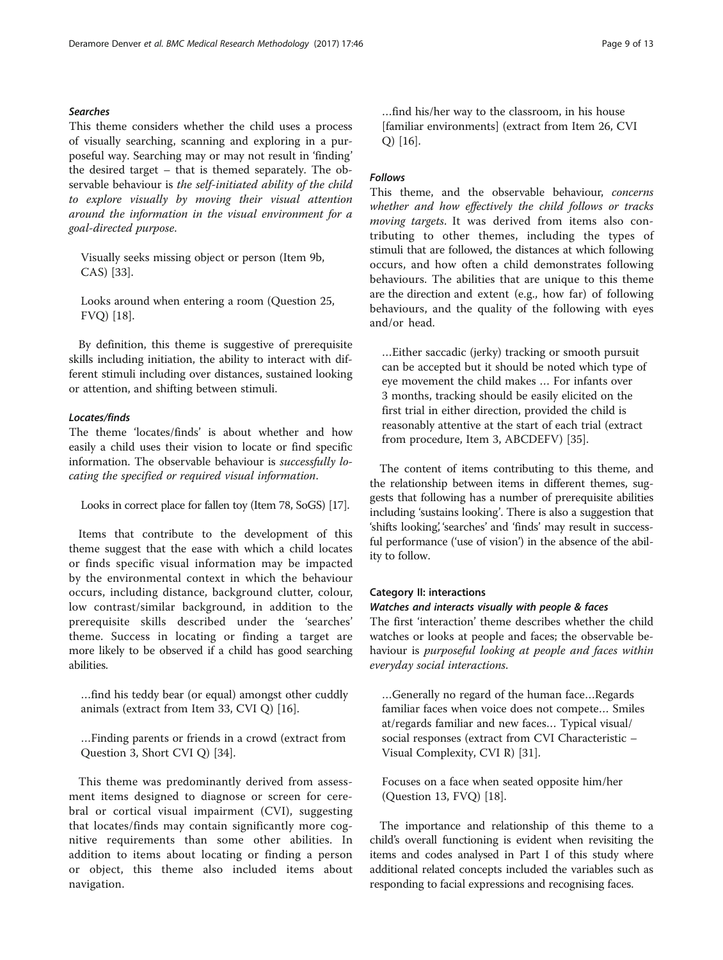## Searches

This theme considers whether the child uses a process of visually searching, scanning and exploring in a purposeful way. Searching may or may not result in 'finding' the desired target – that is themed separately. The observable behaviour is the self-initiated ability of the child to explore visually by moving their visual attention around the information in the visual environment for a goal-directed purpose.

Visually seeks missing object or person (Item 9b, CAS) [[33\]](#page-12-0).

Looks around when entering a room (Question 25, FVQ) [[18\]](#page-12-0).

By definition, this theme is suggestive of prerequisite skills including initiation, the ability to interact with different stimuli including over distances, sustained looking or attention, and shifting between stimuli.

# Locates/finds

The theme 'locates/finds' is about whether and how easily a child uses their vision to locate or find specific information. The observable behaviour is successfully locating the specified or required visual information.

Looks in correct place for fallen toy (Item 78, SoGS) [[17\]](#page-12-0).

Items that contribute to the development of this theme suggest that the ease with which a child locates or finds specific visual information may be impacted by the environmental context in which the behaviour occurs, including distance, background clutter, colour, low contrast/similar background, in addition to the prerequisite skills described under the 'searches' theme. Success in locating or finding a target are more likely to be observed if a child has good searching abilities.

…find his teddy bear (or equal) amongst other cuddly animals (extract from Item 33, CVI Q) [[16](#page-12-0)].

…Finding parents or friends in a crowd (extract from Question 3, Short CVI Q) [\[34\]](#page-12-0).

This theme was predominantly derived from assessment items designed to diagnose or screen for cerebral or cortical visual impairment (CVI), suggesting that locates/finds may contain significantly more cognitive requirements than some other abilities. In addition to items about locating or finding a person or object, this theme also included items about navigation.

…find his/her way to the classroom, in his house [familiar environments] (extract from Item 26, CVI Q) [[16\]](#page-12-0).

## Follows

This theme, and the observable behaviour, concerns whether and how effectively the child follows or tracks moving targets. It was derived from items also contributing to other themes, including the types of stimuli that are followed, the distances at which following occurs, and how often a child demonstrates following behaviours. The abilities that are unique to this theme are the direction and extent (e.g., how far) of following behaviours, and the quality of the following with eyes and/or head.

…Either saccadic (jerky) tracking or smooth pursuit can be accepted but it should be noted which type of eye movement the child makes … For infants over 3 months, tracking should be easily elicited on the first trial in either direction, provided the child is reasonably attentive at the start of each trial (extract from procedure, Item 3, ABCDEFV) [\[35\]](#page-12-0).

The content of items contributing to this theme, and the relationship between items in different themes, suggests that following has a number of prerequisite abilities including 'sustains looking'. There is also a suggestion that 'shifts looking', 'searches' and 'finds' may result in successful performance ('use of vision') in the absence of the ability to follow.

#### Category II: interactions

#### Watches and interacts visually with people & faces

The first 'interaction' theme describes whether the child watches or looks at people and faces; the observable behaviour is purposeful looking at people and faces within everyday social interactions.

…Generally no regard of the human face…Regards familiar faces when voice does not compete… Smiles at/regards familiar and new faces… Typical visual/ social responses (extract from CVI Characteristic – Visual Complexity, CVI R) [\[31](#page-12-0)].

Focuses on a face when seated opposite him/her (Question 13, FVQ) [\[18](#page-12-0)].

The importance and relationship of this theme to a child's overall functioning is evident when revisiting the items and codes analysed in Part I of this study where additional related concepts included the variables such as responding to facial expressions and recognising faces.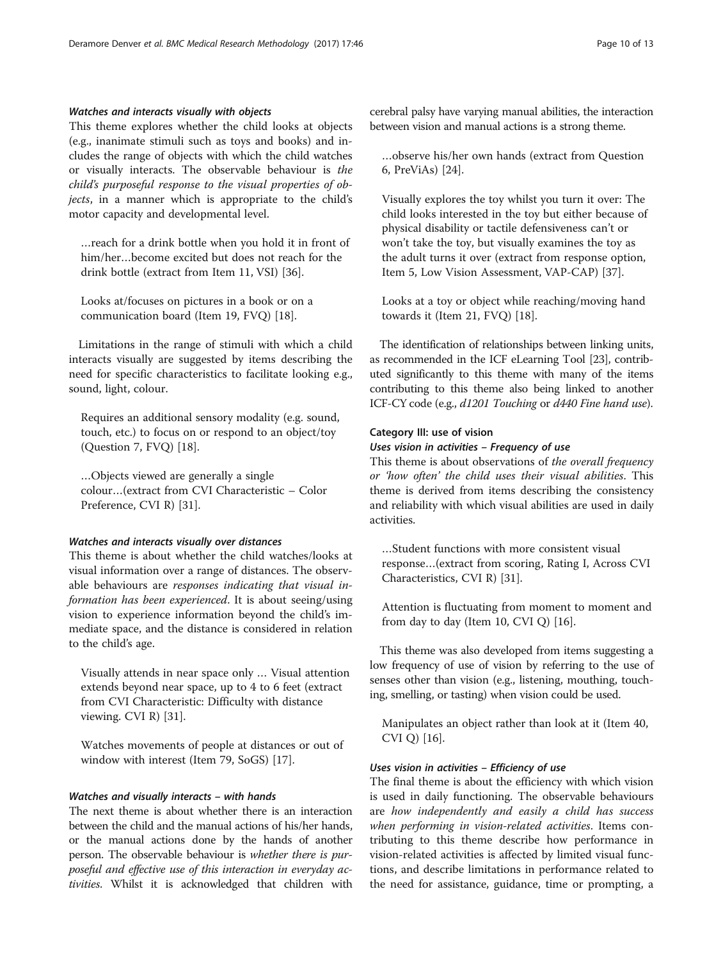## Watches and interacts visually with objects

This theme explores whether the child looks at objects (e.g., inanimate stimuli such as toys and books) and includes the range of objects with which the child watches or visually interacts. The observable behaviour is the child's purposeful response to the visual properties of objects, in a manner which is appropriate to the child's motor capacity and developmental level.

…reach for a drink bottle when you hold it in front of him/her…become excited but does not reach for the drink bottle (extract from Item 11, VSI) [\[36](#page-12-0)].

Looks at/focuses on pictures in a book or on a communication board (Item 19, FVQ) [\[18](#page-12-0)].

Limitations in the range of stimuli with which a child interacts visually are suggested by items describing the need for specific characteristics to facilitate looking e.g., sound, light, colour.

Requires an additional sensory modality (e.g. sound, touch, etc.) to focus on or respond to an object/toy (Question 7, FVQ) [\[18](#page-12-0)].

…Objects viewed are generally a single colour…(extract from CVI Characteristic – Color Preference, CVI R) [\[31\]](#page-12-0).

#### Watches and interacts visually over distances

This theme is about whether the child watches/looks at visual information over a range of distances. The observable behaviours are responses indicating that visual information has been experienced. It is about seeing/using vision to experience information beyond the child's immediate space, and the distance is considered in relation to the child's age.

Visually attends in near space only … Visual attention extends beyond near space, up to 4 to 6 feet (extract from CVI Characteristic: Difficulty with distance viewing. CVI R) [[31\]](#page-12-0).

Watches movements of people at distances or out of window with interest (Item 79, SoGS) [[17\]](#page-12-0).

#### Watches and visually interacts – with hands

The next theme is about whether there is an interaction between the child and the manual actions of his/her hands, or the manual actions done by the hands of another person. The observable behaviour is whether there is purposeful and effective use of this interaction in everyday activities. Whilst it is acknowledged that children with cerebral palsy have varying manual abilities, the interaction between vision and manual actions is a strong theme.

…observe his/her own hands (extract from Question 6, PreViAs) [\[24](#page-12-0)].

Visually explores the toy whilst you turn it over: The child looks interested in the toy but either because of physical disability or tactile defensiveness can't or won't take the toy, but visually examines the toy as the adult turns it over (extract from response option, Item 5, Low Vision Assessment, VAP-CAP) [\[37](#page-12-0)].

Looks at a toy or object while reaching/moving hand towards it (Item 21, FVQ) [[18](#page-12-0)].

The identification of relationships between linking units, as recommended in the ICF eLearning Tool [[23](#page-12-0)], contributed significantly to this theme with many of the items contributing to this theme also being linked to another ICF-CY code (e.g., d1201 Touching or d440 Fine hand use).

#### Category III: use of vision

#### Uses vision in activities – Frequency of use

This theme is about observations of the overall frequency or 'how often' the child uses their visual abilities. This theme is derived from items describing the consistency and reliability with which visual abilities are used in daily activities.

…Student functions with more consistent visual response…(extract from scoring, Rating I, Across CVI Characteristics, CVI R) [[31](#page-12-0)].

Attention is fluctuating from moment to moment and from day to day (Item 10, CVI Q) [\[16](#page-12-0)].

This theme was also developed from items suggesting a low frequency of use of vision by referring to the use of senses other than vision (e.g., listening, mouthing, touching, smelling, or tasting) when vision could be used.

Manipulates an object rather than look at it (Item 40, CVI Q) [[16](#page-12-0)].

# Uses vision in activities – Efficiency of use

The final theme is about the efficiency with which vision is used in daily functioning. The observable behaviours are how independently and easily a child has success when performing in vision-related activities. Items contributing to this theme describe how performance in vision-related activities is affected by limited visual functions, and describe limitations in performance related to the need for assistance, guidance, time or prompting, a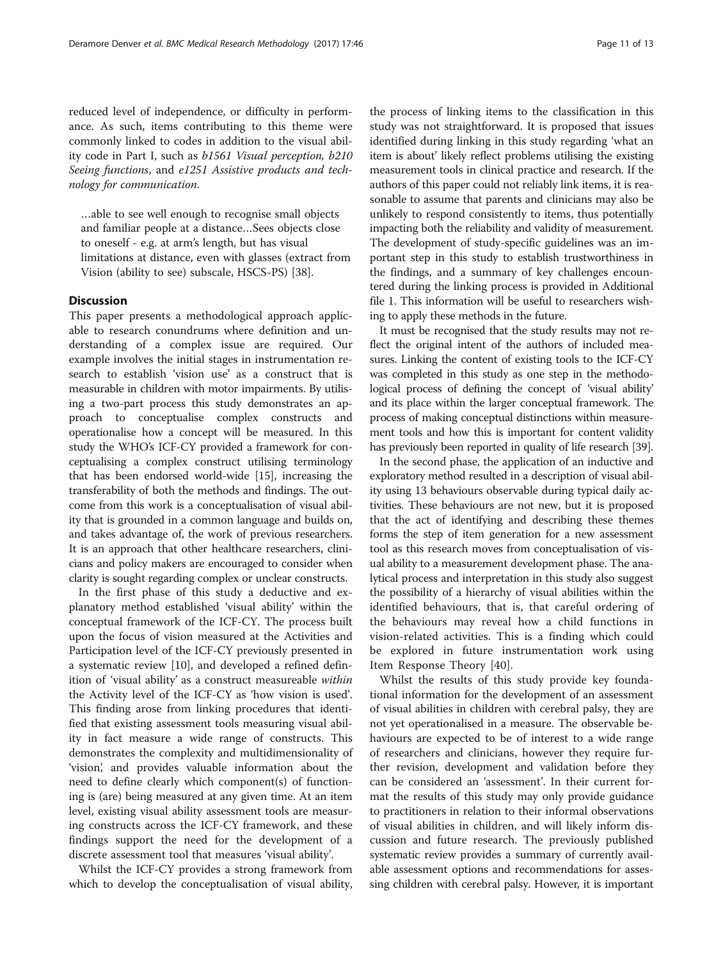reduced level of independence, or difficulty in performance. As such, items contributing to this theme were commonly linked to codes in addition to the visual ability code in Part I, such as b1561 Visual perception, b210 Seeing functions, and e1251 Assistive products and technology for communication.

…able to see well enough to recognise small objects and familiar people at a distance…Sees objects close to oneself - e.g. at arm's length, but has visual limitations at distance, even with glasses (extract from Vision (ability to see) subscale, HSCS-PS) [\[38](#page-12-0)].

#### **Discussion**

This paper presents a methodological approach applicable to research conundrums where definition and understanding of a complex issue are required. Our example involves the initial stages in instrumentation research to establish 'vision use' as a construct that is measurable in children with motor impairments. By utilising a two-part process this study demonstrates an approach to conceptualise complex constructs and operationalise how a concept will be measured. In this study the WHO's ICF-CY provided a framework for conceptualising a complex construct utilising terminology that has been endorsed world-wide [\[15\]](#page-12-0), increasing the transferability of both the methods and findings. The outcome from this work is a conceptualisation of visual ability that is grounded in a common language and builds on, and takes advantage of, the work of previous researchers. It is an approach that other healthcare researchers, clinicians and policy makers are encouraged to consider when clarity is sought regarding complex or unclear constructs.

In the first phase of this study a deductive and explanatory method established 'visual ability' within the conceptual framework of the ICF-CY. The process built upon the focus of vision measured at the Activities and Participation level of the ICF-CY previously presented in a systematic review [\[10\]](#page-12-0), and developed a refined definition of 'visual ability' as a construct measureable within the Activity level of the ICF-CY as 'how vision is used'. This finding arose from linking procedures that identified that existing assessment tools measuring visual ability in fact measure a wide range of constructs. This demonstrates the complexity and multidimensionality of 'vision', and provides valuable information about the need to define clearly which component(s) of functioning is (are) being measured at any given time. At an item level, existing visual ability assessment tools are measuring constructs across the ICF-CY framework, and these findings support the need for the development of a discrete assessment tool that measures 'visual ability'.

Whilst the ICF-CY provides a strong framework from which to develop the conceptualisation of visual ability,

the process of linking items to the classification in this study was not straightforward. It is proposed that issues identified during linking in this study regarding 'what an item is about' likely reflect problems utilising the existing measurement tools in clinical practice and research. If the authors of this paper could not reliably link items, it is reasonable to assume that parents and clinicians may also be unlikely to respond consistently to items, thus potentially impacting both the reliability and validity of measurement. The development of study-specific guidelines was an important step in this study to establish trustworthiness in the findings, and a summary of key challenges encountered during the linking process is provided in Additional file [1.](#page-11-0) This information will be useful to researchers wishing to apply these methods in the future.

It must be recognised that the study results may not reflect the original intent of the authors of included measures. Linking the content of existing tools to the ICF-CY was completed in this study as one step in the methodological process of defining the concept of 'visual ability' and its place within the larger conceptual framework. The process of making conceptual distinctions within measurement tools and how this is important for content validity has previously been reported in quality of life research [[39](#page-12-0)].

In the second phase, the application of an inductive and exploratory method resulted in a description of visual ability using 13 behaviours observable during typical daily activities. These behaviours are not new, but it is proposed that the act of identifying and describing these themes forms the step of item generation for a new assessment tool as this research moves from conceptualisation of visual ability to a measurement development phase. The analytical process and interpretation in this study also suggest the possibility of a hierarchy of visual abilities within the identified behaviours, that is, that careful ordering of the behaviours may reveal how a child functions in vision-related activities. This is a finding which could be explored in future instrumentation work using Item Response Theory [\[40](#page-12-0)].

Whilst the results of this study provide key foundational information for the development of an assessment of visual abilities in children with cerebral palsy, they are not yet operationalised in a measure. The observable behaviours are expected to be of interest to a wide range of researchers and clinicians, however they require further revision, development and validation before they can be considered an 'assessment'. In their current format the results of this study may only provide guidance to practitioners in relation to their informal observations of visual abilities in children, and will likely inform discussion and future research. The previously published systematic review provides a summary of currently available assessment options and recommendations for assessing children with cerebral palsy. However, it is important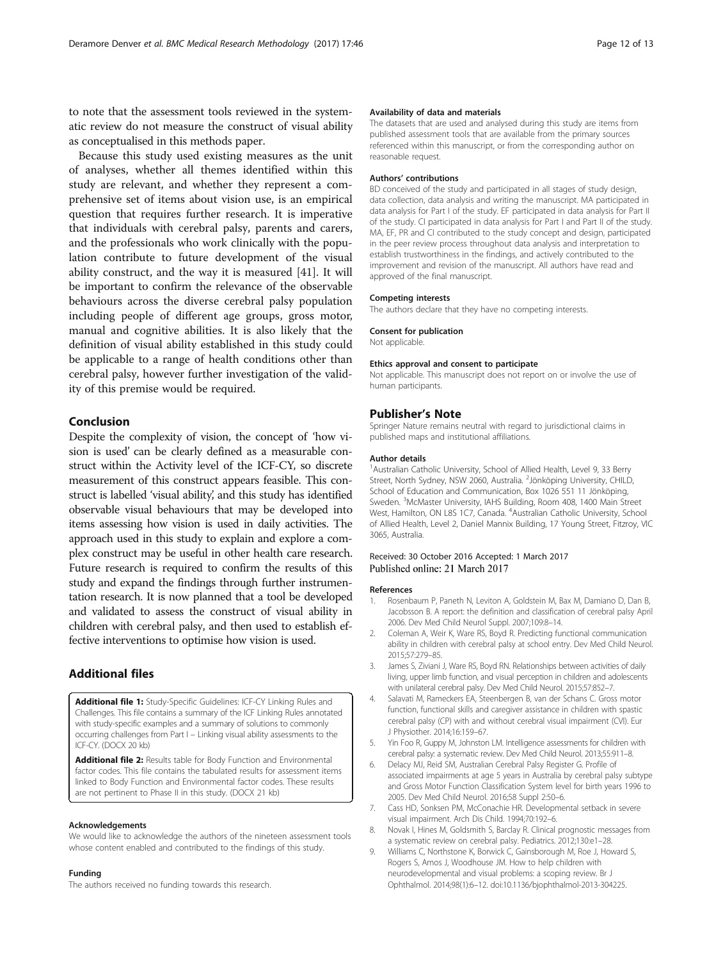<span id="page-11-0"></span>to note that the assessment tools reviewed in the systematic review do not measure the construct of visual ability as conceptualised in this methods paper.

Because this study used existing measures as the unit of analyses, whether all themes identified within this study are relevant, and whether they represent a comprehensive set of items about vision use, is an empirical question that requires further research. It is imperative that individuals with cerebral palsy, parents and carers, and the professionals who work clinically with the population contribute to future development of the visual ability construct, and the way it is measured [[41](#page-12-0)]. It will be important to confirm the relevance of the observable behaviours across the diverse cerebral palsy population including people of different age groups, gross motor, manual and cognitive abilities. It is also likely that the definition of visual ability established in this study could be applicable to a range of health conditions other than cerebral palsy, however further investigation of the validity of this premise would be required.

## Conclusion

Despite the complexity of vision, the concept of 'how vision is used' can be clearly defined as a measurable construct within the Activity level of the ICF-CY, so discrete measurement of this construct appears feasible. This construct is labelled 'visual ability', and this study has identified observable visual behaviours that may be developed into items assessing how vision is used in daily activities. The approach used in this study to explain and explore a complex construct may be useful in other health care research. Future research is required to confirm the results of this study and expand the findings through further instrumentation research. It is now planned that a tool be developed and validated to assess the construct of visual ability in children with cerebral palsy, and then used to establish effective interventions to optimise how vision is used.

# Additional files

[Additional file 1:](dx.doi.org/10.1186/s12874-017-0316-6) Study-Specific Guidelines: ICF-CY Linking Rules and Challenges. This file contains a summary of the ICF Linking Rules annotated with study-specific examples and a summary of solutions to commonly occurring challenges from Part I – Linking visual ability assessments to the ICF-CY. (DOCX 20 kb)

[Additional file 2:](dx.doi.org/10.1186/s12874-017-0316-6) Results table for Body Function and Environmental factor codes. This file contains the tabulated results for assessment items linked to Body Function and Environmental factor codes. These results are not pertinent to Phase II in this study. (DOCX 21 kb)

#### Acknowledgements

We would like to acknowledge the authors of the nineteen assessment tools whose content enabled and contributed to the findings of this study.

#### Funding

The authors received no funding towards this research.

#### Availability of data and materials

The datasets that are used and analysed during this study are items from published assessment tools that are available from the primary sources referenced within this manuscript, or from the corresponding author on reasonable request.

#### Authors' contributions

BD conceived of the study and participated in all stages of study design, data collection, data analysis and writing the manuscript. MA participated in data analysis for Part I of the study. EF participated in data analysis for Part II of the study. CI participated in data analysis for Part I and Part II of the study. MA, EF, PR and CI contributed to the study concept and design, participated in the peer review process throughout data analysis and interpretation to establish trustworthiness in the findings, and actively contributed to the improvement and revision of the manuscript. All authors have read and approved of the final manuscript.

#### Competing interests

The authors declare that they have no competing interests.

#### Consent for publication

Not applicable.

#### Ethics approval and consent to participate

Not applicable. This manuscript does not report on or involve the use of human participants.

#### Publisher's Note

Springer Nature remains neutral with regard to jurisdictional claims in published maps and institutional affiliations.

#### Author details

<sup>1</sup> Australian Catholic University, School of Allied Health, Level 9, 33 Berry Street, North Sydney, NSW 2060, Australia. <sup>2</sup>Jönköping University, CHILD School of Education and Communication, Box 1026 551 11 Jönköping, Sweden. <sup>3</sup>McMaster University, IAHS Building, Room 408, 1400 Main Street West, Hamilton, ON L8S 1C7, Canada. <sup>4</sup>Australian Catholic University, School of Allied Health, Level 2, Daniel Mannix Building, 17 Young Street, Fitzroy, VIC 3065, Australia.

#### Received: 30 October 2016 Accepted: 1 March 2017 Published online: 21 March 2017

#### References

- Rosenbaum P, Paneth N, Leviton A, Goldstein M, Bax M, Damiano D, Dan B, Jacobsson B. A report: the definition and classification of cerebral palsy April 2006. Dev Med Child Neurol Suppl. 2007;109:8–14.
- 2. Coleman A, Weir K, Ware RS, Boyd R. Predicting functional communication ability in children with cerebral palsy at school entry. Dev Med Child Neurol. 2015;57:279–85.
- 3. James S, Ziviani J, Ware RS, Boyd RN. Relationships between activities of daily living, upper limb function, and visual perception in children and adolescents with unilateral cerebral palsy. Dev Med Child Neurol. 2015;57:852–7.
- 4. Salavati M, Rameckers EA, Steenbergen B, van der Schans C. Gross motor function, functional skills and caregiver assistance in children with spastic cerebral palsy (CP) with and without cerebral visual impairment (CVI). Eur J Physiother. 2014;16:159–67.
- 5. Yin Foo R, Guppy M, Johnston LM. Intelligence assessments for children with cerebral palsy: a systematic review. Dev Med Child Neurol. 2013;55:911–8.
- 6. Delacy MJ, Reid SM, Australian Cerebral Palsy Register G. Profile of associated impairments at age 5 years in Australia by cerebral palsy subtype and Gross Motor Function Classification System level for birth years 1996 to 2005. Dev Med Child Neurol. 2016;58 Suppl 2:50–6.
- 7. Cass HD, Sonksen PM, McConachie HR. Developmental setback in severe visual impairment. Arch Dis Child. 1994;70:192–6.
- 8. Novak I, Hines M, Goldsmith S, Barclay R. Clinical prognostic messages from a systematic review on cerebral palsy. Pediatrics. 2012;130:e1–28.
- 9. Williams C, Northstone K, Borwick C, Gainsborough M, Roe J, Howard S, Rogers S, Amos J, Woodhouse JM. How to help children with neurodevelopmental and visual problems: a scoping review. Br J Ophthalmol. 2014;98(1):6–12. doi[:10.1136/bjophthalmol-2013-304225](http://dx.doi.org/10.1136/bjophthalmol-2013-304225).